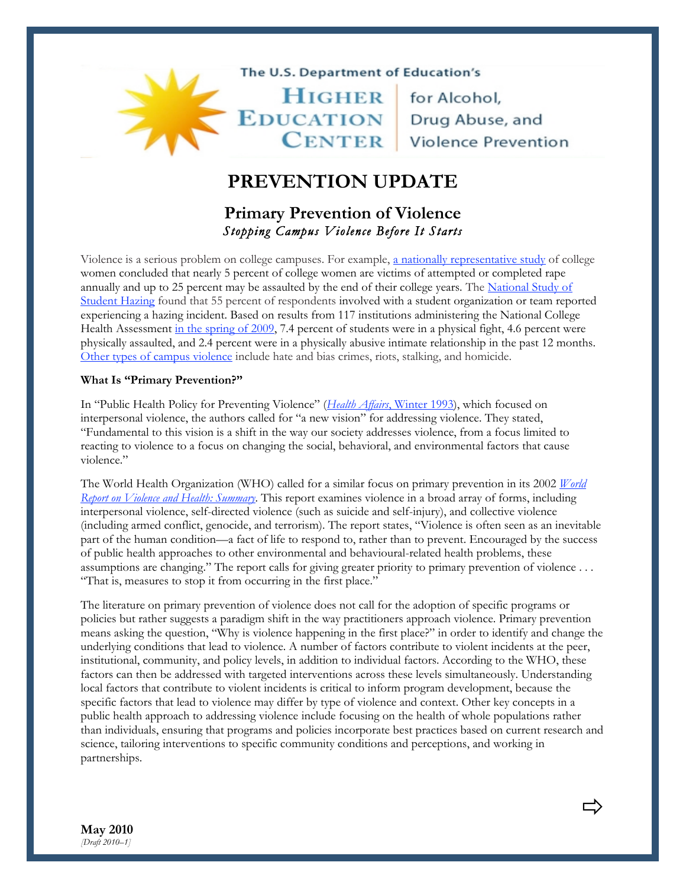### The U.S. Department of Education's

HIGHER for Alcohol, EDUCATION Drug Abuse, and<br>
CENTER Violence Prevention

# **PREVENTION UPDATE**

## **Primary Prevention of Violence**  *Stopping Campus Violence Before It Starts*

Violence is a serious problem on college campuses. For example, [a nationally representative study](http://www.ncjrs.gov/pdffiles1/nij/182369.pdf) of college women concluded that nearly 5 percent of college women are victims of attempted or completed rape [annually and up to 25 percent may be assaulted by the end of their college years. The National Study of](http://www.hazingstudy.org/publications/hazing_in_view_web.pdf)  Student Hazing found that 55 percent of respondents involved with a student organization or team reported experiencing a hazing incident. Based on results from 117 institutions administering the National College Health Assessment [in the spring of 2009,](http://www.acha-ncha.org/docs/ACHA-NCHA_Reference_Group_ExecutiveSummary_Spring2009.pdf) 7.4 percent of students were in a physical fight, 4.6 percent were physically assaulted, and 2.4 percent were in a physically abusive intimate relationship in the past 12 months. [Other types of campus violence](http://www.higheredcenter.org/high-risk/violence/) include hate and bias crimes, riots, stalking, and homicide.

#### **What Is "Primary Prevention?"**

In "Public Health Policy for Preventing Violence" (*Health Affairs*[, Winter 1993\)](http://content.healthaffairs.org/cgi/reprint/12/4/7), which focused on interpersonal violence, the authors called for "a new vision" for addressing violence. They stated, "Fundamental to this vision is a shift in the way our society addresses violence, from a focus limited to reacting to violence to a focus on changing the social, behavioral, and environmental factors that cause violence"

[The World Health Organization \(WHO\) called for a similar focus on primary prevention in its 2002](http://www.who.int/violence_injury_prevention/violence/world_report/en/summary_en.pdf) *World Report on Violence and Health: Summary*. This report examines violence in a broad array of forms, including interpersonal violence, self-directed violence (such as suicide and self-injury), and collective violence (including armed conflict, genocide, and terrorism). The report states, "Violence is often seen as an inevitable part of the human condition—a fact of life to respond to, rather than to prevent. Encouraged by the success of public health approaches to other environmental and behavioural-related health problems, these assumptions are changing." The report calls for giving greater priority to primary prevention of violence . . . "That is, measures to stop it from occurring in the first place."

The literature on primary prevention of violence does not call for the adoption of specific programs or policies but rather suggests a paradigm shift in the way practitioners approach violence. Primary prevention means asking the question, "Why is violence happening in the first place?" in order to identify and change the underlying conditions that lead to violence. A number of factors contribute to violent incidents at the peer, institutional, community, and policy levels, in addition to individual factors. According to the WHO, these factors can then be addressed with targeted interventions across these levels simultaneously. Understanding local factors that contribute to violent incidents is critical to inform program development, because the specific factors that lead to violence may differ by type of violence and context. Other key concepts in a public health approach to addressing violence include focusing on the health of whole populations rather than individuals, ensuring that programs and policies incorporate best practices based on current research and science, tailoring interventions to specific community conditions and perceptions, and working in partnerships.